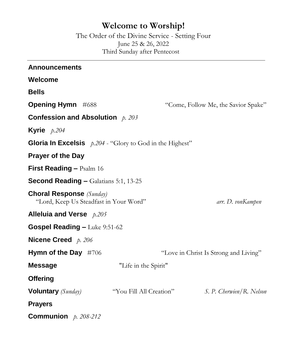# **Welcome to Worship!**

The Order of the Divine Service - Setting Four June 25 & 26, 2022 Third Sunday after Pentecost

| <b>Announcements</b>                                                      |                         |                                       |
|---------------------------------------------------------------------------|-------------------------|---------------------------------------|
| <b>Welcome</b>                                                            |                         |                                       |
| <b>Bells</b>                                                              |                         |                                       |
| <b>Opening Hymn</b> #688                                                  |                         | "Come, Follow Me, the Savior Spake"   |
| Confession and Absolution $p. 203$                                        |                         |                                       |
| Kyrie $p.204$                                                             |                         |                                       |
| <b>Gloria In Excelsis</b> $p.204$ - "Glory to God in the Highest"         |                         |                                       |
| <b>Prayer of the Day</b>                                                  |                         |                                       |
| <b>First Reading - Psalm 16</b>                                           |                         |                                       |
| <b>Second Reading - Galatians 5:1, 13-25</b>                              |                         |                                       |
| <b>Choral Response</b> (Sunday)<br>"Lord, Keep Us Steadfast in Your Word" |                         | arr. D. vonKampen                     |
| Alleluia and Verse $p.205$                                                |                         |                                       |
| <b>Gospel Reading - Luke 9:51-62</b>                                      |                         |                                       |
| <b>Nicene Creed</b> $p. 206$                                              |                         |                                       |
| Hymn of the Day #706                                                      |                         | "Love in Christ Is Strong and Living" |
| <b>Message</b>                                                            | "Life in the Spirit"    |                                       |
| <b>Offering</b>                                                           |                         |                                       |
| <b>Voluntary</b> (Sunday)                                                 | "You Fill All Creation" | S. P. Cherwien/R. Nelson              |
| <b>Prayers</b>                                                            |                         |                                       |
| <b>Communion</b> $p. 208-212$                                             |                         |                                       |